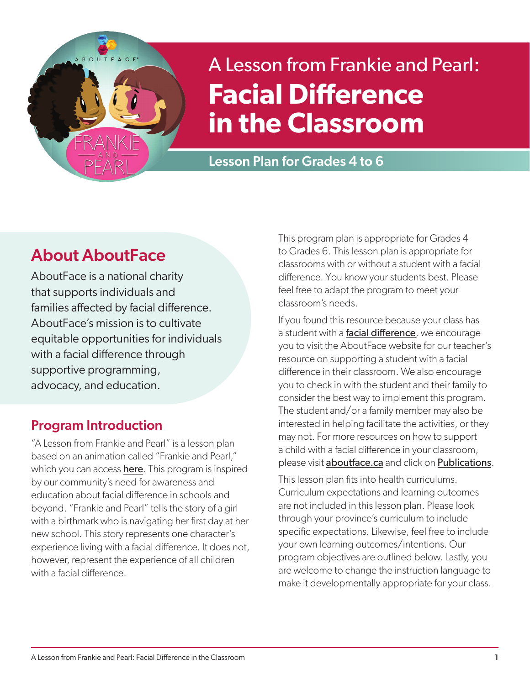

# A Lesson from Frankie and Pearl: **Facial Difference in the Classroom**

# Lesson Plan for Grades 4 to 6

# About AboutFace

AboutFace is a national charity that supports individuals and families affected by facial difference. AboutFace's mission is to cultivate equitable opportunities for individuals with a facial difference through supportive programming, advocacy, and education.

# Program Introduction

"A Lesson from Frankie and Pearl" is a lesson plan based on an animation called "Frankie and Pearl," which you can access [here](https://www.youtube.com/watch?v=R1hdSISTQog). This program is inspired by our community's need for awareness and education about facial difference in schools and beyond. "Frankie and Pearl" tells the story of a girl with a birthmark who is navigating her first day at her new school. This story represents one character's experience living with a facial difference. It does not, however, represent the experience of all children with a facial difference.

This program plan is appropriate for Grades 4 to Grades 6. This lesson plan is appropriate for classrooms with or without a student with a facial difference. You know your students best. Please feel free to adapt the program to meet your classroom's needs.

If you found this resource because your class has a student with a [facial difference](https://www.aboutface.ca/facial_difference/), we encourage you to visit the AboutFace website for our teacher's resource on supporting a student with a facial difference in their classroom. We also encourage you to check in with the student and their family to consider the best way to implement this program. The student and/or a family member may also be interested in helping facilitate the activities, or they may not. For more resources on how to support a child with a facial difference in your classroom, please visit [aboutface.ca](www.aboutface.ca) and click on [Publications](https://www.aboutface.ca/publications/).

This lesson plan fits into health curriculums. Curriculum expectations and learning outcomes are not included in this lesson plan. Please look through your province's curriculum to include specific expectations. Likewise, feel free to include your own learning outcomes/intentions. Our program objectives are outlined below. Lastly, you are welcome to change the instruction language to make it developmentally appropriate for your class.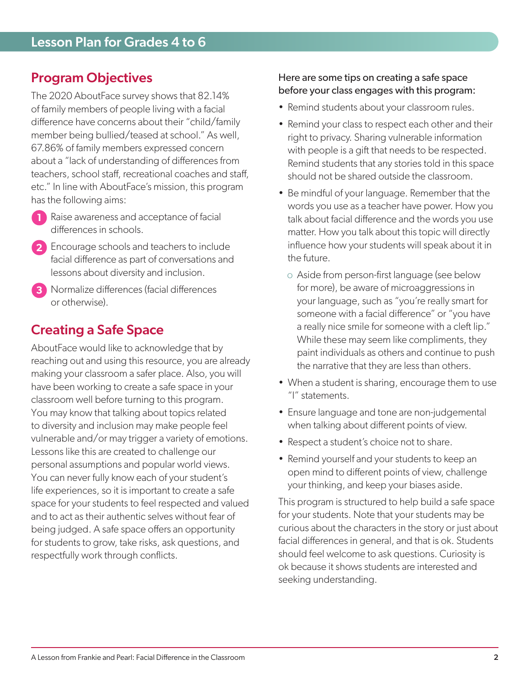# Program Objectives

The 2020 AboutFace survey shows that 82.14% of family members of people living with a facial difference have concerns about their "child/family member being bullied/teased at school." As well, 67.86% of family members expressed concern about a "lack of understanding of differences from teachers, school staff, recreational coaches and staff, etc." In line with AboutFace's mission, this program has the following aims:

- **1** Raise awareness and acceptance of facial differences in schools.
- **2** Encourage schools and teachers to include facial difference as part of conversations and lessons about diversity and inclusion.
- **3** Normalize differences (facial differences or otherwise).

# Creating a Safe Space

AboutFace would like to acknowledge that by reaching out and using this resource, you are already making your classroom a safer place. Also, you will have been working to create a safe space in your classroom well before turning to this program. You may know that talking about topics related to diversity and inclusion may make people feel vulnerable and/or may trigger a variety of emotions. Lessons like this are created to challenge our personal assumptions and popular world views. You can never fully know each of your student's life experiences, so it is important to create a safe space for your students to feel respected and valued and to act as their authentic selves without fear of being judged. A safe space offers an opportunity for students to grow, take risks, ask questions, and respectfully work through conflicts.

### Here are some tips on creating a safe space before your class engages with this program:

- Remind students about your classroom rules.
- Remind your class to respect each other and their right to privacy. Sharing vulnerable information with people is a gift that needs to be respected. Remind students that any stories told in this space should not be shared outside the classroom.
- Be mindful of your language. Remember that the words you use as a teacher have power. How you talk about facial difference and the words you use matter. How you talk about this topic will directly influence how your students will speak about it in the future.
	- o Aside from person-first language (see below for more), be aware of microaggressions in your language, such as "you're really smart for someone with a facial difference" or "you have a really nice smile for someone with a cleft lip." While these may seem like compliments, they paint individuals as others and continue to push the narrative that they are less than others.
- When a student is sharing, encourage them to use "I" statements.
- Ensure language and tone are non-judgemental when talking about different points of view.
- Respect a student's choice not to share.
- Remind yourself and your students to keep an open mind to different points of view, challenge your thinking, and keep your biases aside.

This program is structured to help build a safe space for your students. Note that your students may be curious about the characters in the story or just about facial differences in general, and that is ok. Students should feel welcome to ask questions. Curiosity is ok because it shows students are interested and seeking understanding.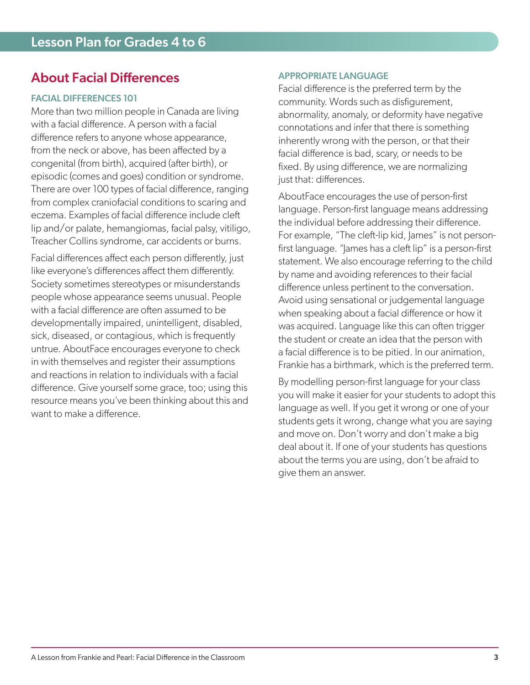# About Facial Differences

#### FACIAL DIFFERENCES 101

More than two million people in Canada are living with a facial difference. A person with a facial difference refers to anyone whose appearance, from the neck or above, has been affected by a congenital (from birth), acquired (after birth), or episodic (comes and goes) condition or syndrome. There are over 100 types of facial difference, ranging from complex craniofacial conditions to scaring and eczema. Examples of facial difference include cleft lip and/or palate, hemangiomas, facial palsy, vitiligo, Treacher Collins syndrome, car accidents or burns.

Facial differences affect each person differently, just like everyone's differences affect them differently. Society sometimes stereotypes or misunderstands people whose appearance seems unusual. People with a facial difference are often assumed to be developmentally impaired, unintelligent, disabled, sick, diseased, or contagious, which is frequently untrue. AboutFace encourages everyone to check in with themselves and register their assumptions and reactions in relation to individuals with a facial difference. Give yourself some grace, too; using this resource means you've been thinking about this and want to make a difference.

#### APPROPRIATE LANGUAGE

Facial difference is the preferred term by the community. Words such as disfigurement, abnormality, anomaly, or deformity have negative connotations and infer that there is something inherently wrong with the person, or that their facial difference is bad, scary, or needs to be fixed. By using difference, we are normalizing just that: differences.

AboutFace encourages the use of person-first language. Person-first language means addressing the individual before addressing their difference. For example, "The cleft-lip kid, James" is not personfirst language. "James has a cleft lip" is a person-first statement. We also encourage referring to the child by name and avoiding references to their facial difference unless pertinent to the conversation. Avoid using sensational or judgemental language when speaking about a facial difference or how it was acquired. Language like this can often trigger the student or create an idea that the person with a facial difference is to be pitied. In our animation, Frankie has a birthmark, which is the preferred term.

By modelling person-first language for your class you will make it easier for your students to adopt this language as well. If you get it wrong or one of your students gets it wrong, change what you are saying and move on. Don't worry and don't make a big deal about it. If one of your students has questions about the terms you are using, don't be afraid to give them an answer.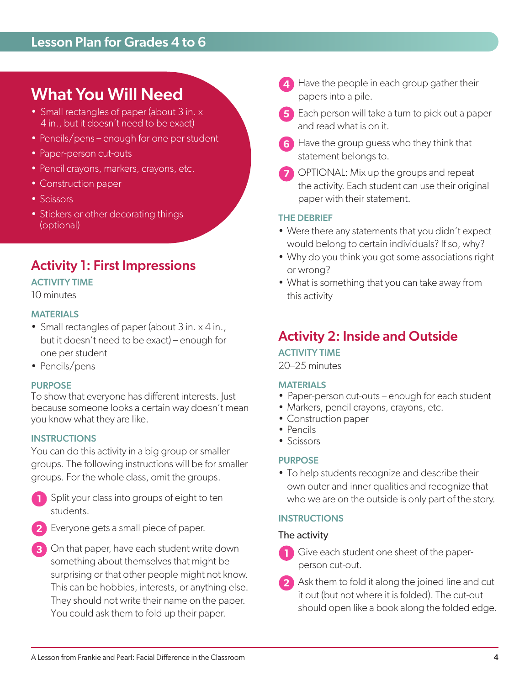# What You Will Need

- Small rectangles of paper (about 3 in. x) 4 in., but it doesn't need to be exact)
- Pencils/pens enough for one per student
- Paper-person cut-outs
- Pencil crayons, markers, crayons, etc.
- Construction paper
- Scissors
- Stickers or other decorating things (optional)

# Activity 1: First Impressions

#### ACTIVITY TIME 10 minutes

### **MATERIALS**

- Small rectangles of paper (about 3 in. x 4 in., but it doesn't need to be exact) – enough for one per student
- Pencils/pens

### **PURPOSE**

To show that everyone has different interests. Just because someone looks a certain way doesn't mean you know what they are like.

### **INSTRUCTIONS**

You can do this activity in a big group or smaller groups. The following instructions will be for smaller groups. For the whole class, omit the groups.

- **1** Split your class into groups of eight to ten students.
- **2** Everyone gets a small piece of paper.
- **3** On that paper, have each student write down something about themselves that might be surprising or that other people might not know. This can be hobbies, interests, or anything else. They should not write their name on the paper. You could ask them to fold up their paper.
- **4** Have the people in each group gather their papers into a pile.
- **5** Each person will take a turn to pick out a paper and read what is on it.
- **6** Have the group guess who they think that statement belongs to.
- **7** OPTIONAL: Mix up the groups and repeat the activity. Each student can use their original paper with their statement.

### THE DEBRIEF

- Were there any statements that you didn't expect would belong to certain individuals? If so, why?
- Why do you think you got some associations right or wrong?
- What is something that you can take away from this activity

# Activity 2: Inside and Outside

ACTIVITY TIME 20–25 minutes

#### **MATERIALS**

- Paper-person cut-outs enough for each student
- Markers, pencil crayons, crayons, etc.
- Construction paper
- Pencils
- Scissors

#### PURPOSE

• To help students recognize and describe their own outer and inner qualities and recognize that who we are on the outside is only part of the story.

### **INSTRUCTIONS**

#### The activity

**1** Give each student one sheet of the paperperson cut-out.

**2** Ask them to fold it along the joined line and cut it out (but not where it is folded). The cut-out should open like a book along the folded edge.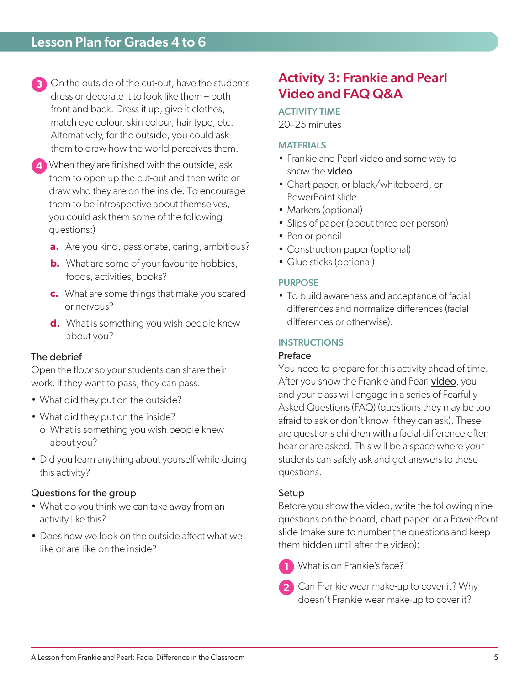- **3** On the outside of the cut-out, have the students dress or decorate it to look like them – both front and back. Dress it up, give it clothes, match eye colour, skin colour, hair type, etc. Alternatively, for the outside, you could ask them to draw how the world perceives them.
- **4** When they are finished with the outside, ask them to open up the cut-out and then write or draw who they are on the inside. To encourage them to be introspective about themselves, you could ask them some of the following questions:)
	- **a.** Are you kind, passionate, caring, ambitious?
	- **b.** What are some of your favourite hobbies, foods, activities, books?
	- **c.** What are some things that make you scared or nervous?
	- **d.** What is something you wish people knew about you?

#### The debrief

Open the floor so your students can share their work. If they want to pass, they can pass.

- What did they put on the outside?
- What did they put on the inside?
	- o What is something you wish people knew about you?
- Did you learn anything about yourself while doing this activity?

#### Questions for the group

- What do you think we can take away from an activity like this?
- Does how we look on the outside affect what we like or are like on the inside?

# Activity 3: Frankie and Pearl Video and FAQ Q&A

# ACTIVITY TIME

20–25 minutes

#### **MATERIALS**

- Frankie and Pearl video and some way to show the **[video](https://www.youtube.com/watch?v=R1hdSISTQog)**
- Chart paper, or black/whiteboard, or PowerPoint slide
- Markers (optional)
- Slips of paper (about three per person)
- Pen or pencil
- Construction paper (optional)
- Glue sticks (optional)

#### PURPOSE

• To build awareness and acceptance of facial differences and normalize differences (facial differences or otherwise).

### **INSTRUCTIONS**

#### Preface

You need to prepare for this activity ahead of time. After you show the Frankie and Pearl [video](https://www.youtube.com/watch?v=R1hdSISTQog), you and your class will engage in a series of Fearfully Asked Questions (FAQ) (questions they may be too afraid to ask or don't know if they can ask). These are questions children with a facial difference often hear or are asked. This will be a space where your students can safely ask and get answers to these questions.

#### Setup

Before you show the video, write the following nine questions on the board, chart paper, or a PowerPoint slide (make sure to number the questions and keep them hidden until after the video) $\cdot$ 



**1** What is on Frankie's face?

**2** Can Frankie wear make-up to cover it? Why doesn't Frankie wear make-up to cover it?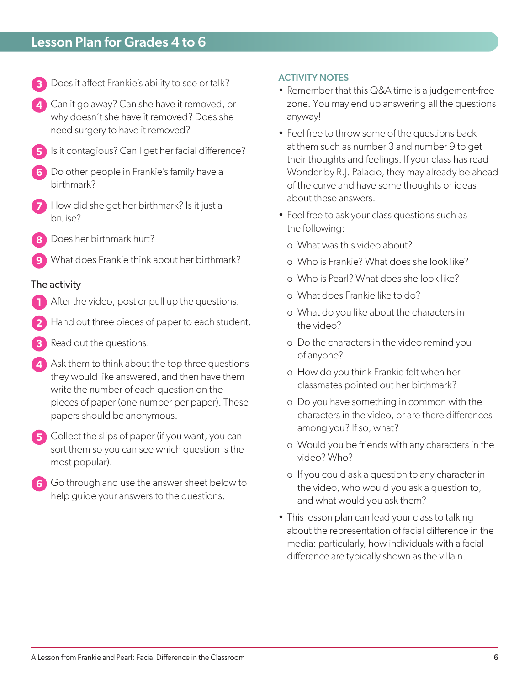- **3** Does it affect Frankie's ability to see or talk?
- **4** Can it go away? Can she have it removed, or why doesn't she have it removed? Does she need surgery to have it removed?
- **5** Is it contagious? Can I get her facial difference?
- **6** Do other people in Frankie's family have a birthmark?
- **7** How did she get her birthmark? Is it just a bruise?
- **8** Does her birthmark hurt?
- **9** What does Frankie think about her birthmark?

### The activity

- After the video, post or pull up the questions.
- **2** Hand out three pieces of paper to each student.
- **3** Read out the questions.
- **4** Ask them to think about the top three questions they would like answered, and then have them write the number of each question on the pieces of paper (one number per paper). These papers should be anonymous.
- **5** Collect the slips of paper (if you want, you can sort them so you can see which question is the most popular).
- **6** Go through and use the answer sheet below to help guide your answers to the questions.

#### ACTIVITY NOTES

- Remember that this Q&A time is a judgement-free zone. You may end up answering all the questions anyway!
- Feel free to throw some of the questions back at them such as number 3 and number 9 to get their thoughts and feelings. If your class has read Wonder by R.J. Palacio, they may already be ahead of the curve and have some thoughts or ideas about these answers.
- Feel free to ask your class questions such as the following:
	- o What was this video about?
	- o Who is Frankie? What does she look like?
	- o Who is Pearl? What does she look like?
	- o What does Frankie like to do?
	- o What do you like about the characters in the video?
	- o Do the characters in the video remind you of anyone?
	- o How do you think Frankie felt when her classmates pointed out her birthmark?
	- o Do you have something in common with the characters in the video, or are there differences among you? If so, what?
	- o Would you be friends with any characters in the video? Who?
	- o If you could ask a question to any character in the video, who would you ask a question to, and what would you ask them?
- This lesson plan can lead your class to talking about the representation of facial difference in the media: particularly, how individuals with a facial difference are typically shown as the villain.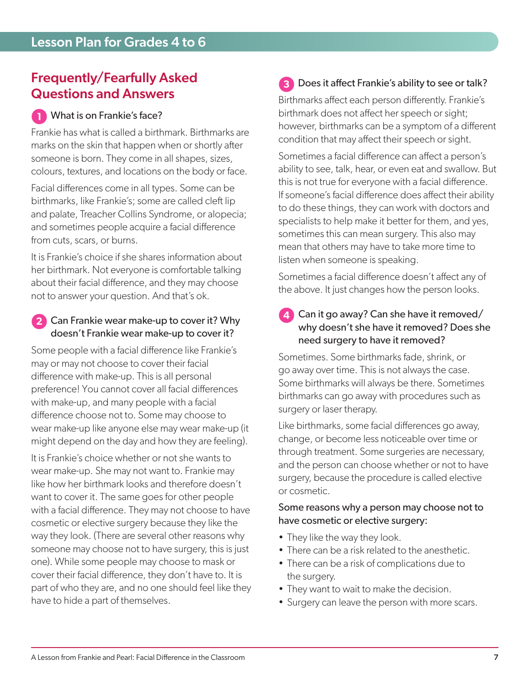# Frequently/Fearfully Asked Questions and Answers

### **1** What is on Frankie's face?

Frankie has what is called a birthmark. Birthmarks are marks on the skin that happen when or shortly after someone is born. They come in all shapes, sizes, colours, textures, and locations on the body or face.

Facial differences come in all types. Some can be birthmarks, like Frankie's; some are called cleft lip and palate, Treacher Collins Syndrome, or alopecia; and sometimes people acquire a facial difference from cuts, scars, or burns.

It is Frankie's choice if she shares information about her birthmark. Not everyone is comfortable talking about their facial difference, and they may choose not to answer your question. And that's ok.

### **2** Can Frankie wear make-up to cover it? Why doesn't Frankie wear make-up to cover it?

Some people with a facial difference like Frankie's may or may not choose to cover their facial difference with make-up. This is all personal preference! You cannot cover all facial differences with make-up, and many people with a facial difference choose not to. Some may choose to wear make-up like anyone else may wear make-up (it might depend on the day and how they are feeling).

It is Frankie's choice whether or not she wants to wear make-up. She may not want to. Frankie may like how her birthmark looks and therefore doesn't want to cover it. The same goes for other people with a facial difference. They may not choose to have cosmetic or elective surgery because they like the way they look. (There are several other reasons why someone may choose not to have surgery, this is just one). While some people may choose to mask or cover their facial difference, they don't have to. It is part of who they are, and no one should feel like they have to hide a part of themselves.

# **3** Does it affect Frankie's ability to see or talk?

Birthmarks affect each person differently. Frankie's birthmark does not affect her speech or sight; however, birthmarks can be a symptom of a different condition that may affect their speech or sight.

Sometimes a facial difference can affect a person's ability to see, talk, hear, or even eat and swallow. But this is not true for everyone with a facial difference. If someone's facial difference does affect their ability to do these things, they can work with doctors and specialists to help make it better for them, and yes, sometimes this can mean surgery. This also may mean that others may have to take more time to listen when someone is speaking.

Sometimes a facial difference doesn't affect any of the above. It just changes how the person looks.

### **4** Can it go away? Can she have it removed/ why doesn't she have it removed? Does she need surgery to have it removed?

Sometimes. Some birthmarks fade, shrink, or go away over time. This is not always the case. Some birthmarks will always be there. Sometimes birthmarks can go away with procedures such as surgery or laser therapy.

Like birthmarks, some facial differences go away, change, or become less noticeable over time or through treatment. Some surgeries are necessary, and the person can choose whether or not to have surgery, because the procedure is called elective or cosmetic.

### Some reasons why a person may choose not to have cosmetic or elective surgery:

- They like the way they look.
- There can be a risk related to the anesthetic.
- There can be a risk of complications due to the surgery.
- They want to wait to make the decision.
- Surgery can leave the person with more scars.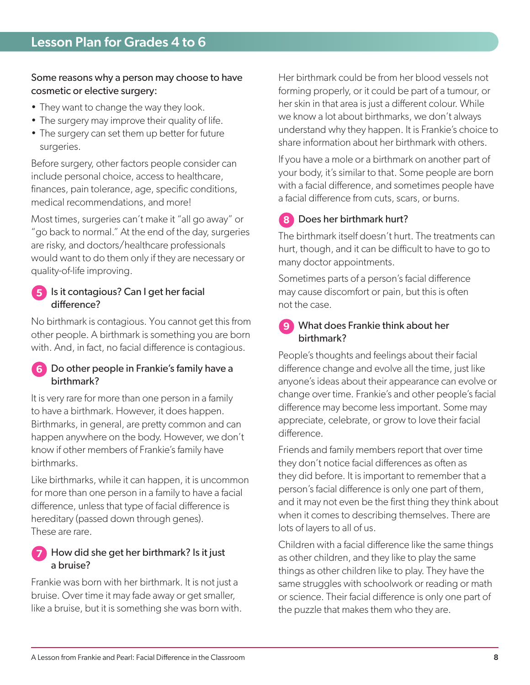### Some reasons why a person may choose to have cosmetic or elective surgery:

- They want to change the way they look.
- The surgery may improve their quality of life.
- The surgery can set them up better for future surgeries.

Before surgery, other factors people consider can include personal choice, access to healthcare, finances, pain tolerance, age, specific conditions, medical recommendations, and more!

Most times, surgeries can't make it "all go away" or "go back to normal." At the end of the day, surgeries are risky, and doctors/healthcare professionals would want to do them only if they are necessary or quality-of-life improving.

### **5** Is it contagious? Can I get her facial difference?

No birthmark is contagious. You cannot get this from other people. A birthmark is something you are born with. And, in fact, no facial difference is contagious.

### **6** Do other people in Frankie's family have a birthmark?

It is very rare for more than one person in a family to have a birthmark. However, it does happen. Birthmarks, in general, are pretty common and can happen anywhere on the body. However, we don't know if other members of Frankie's family have birthmarks.

Like birthmarks, while it can happen, it is uncommon for more than one person in a family to have a facial difference, unless that type of facial difference is hereditary (passed down through genes). These are rare.

### **7** How did she get her birthmark? Is it just a bruise?

Frankie was born with her birthmark. It is not just a bruise. Over time it may fade away or get smaller, like a bruise, but it is something she was born with.

Her birthmark could be from her blood vessels not forming properly, or it could be part of a tumour, or her skin in that area is just a different colour. While we know a lot about birthmarks, we don't always understand why they happen. It is Frankie's choice to share information about her birthmark with others.

If you have a mole or a birthmark on another part of your body, it's similar to that. Some people are born with a facial difference, and sometimes people have a facial difference from cuts, scars, or burns.

## **8** Does her birthmark hurt?

The birthmark itself doesn't hurt. The treatments can hurt, though, and it can be difficult to have to go to many doctor appointments.

Sometimes parts of a person's facial difference may cause discomfort or pain, but this is often not the case.

### **9** What does Frankie think about her birthmark?

People's thoughts and feelings about their facial difference change and evolve all the time, just like anyone's ideas about their appearance can evolve or change over time. Frankie's and other people's facial difference may become less important. Some may appreciate, celebrate, or grow to love their facial difference.

Friends and family members report that over time they don't notice facial differences as often as they did before. It is important to remember that a person's facial difference is only one part of them, and it may not even be the first thing they think about when it comes to describing themselves. There are lots of layers to all of us.

Children with a facial difference like the same things as other children, and they like to play the same things as other children like to play. They have the same struggles with schoolwork or reading or math or science. Their facial difference is only one part of the puzzle that makes them who they are.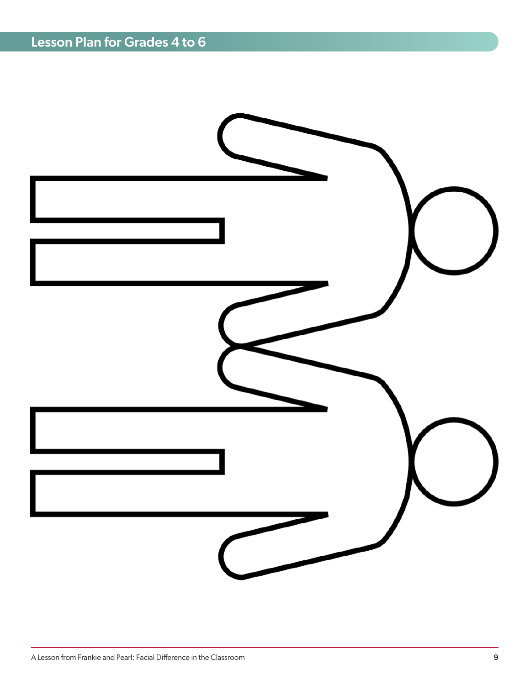